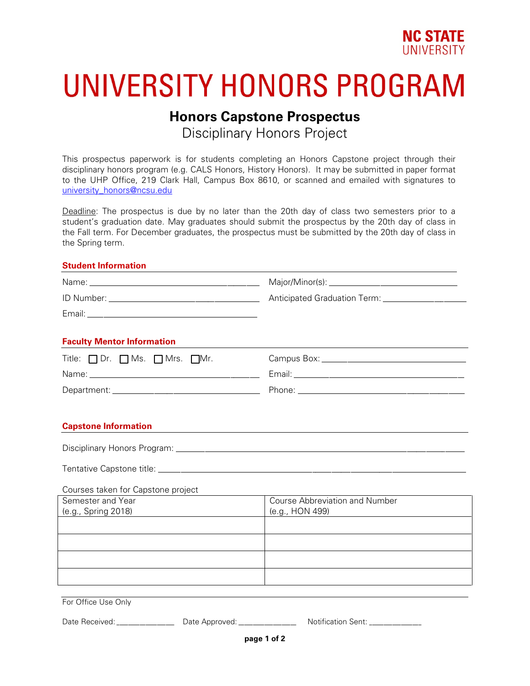

# UNIVERSITY HONORS PROGRAM

### **Honors Capstone Prospectus**

Disciplinary Honors Project

This prospectus paperwork is for students completing an Honors Capstone project through their disciplinary honors program (e.g. CALS Honors, History Honors). It may be submitted in paper format to the UHP Office, 219 Clark Hall, Campus Box 8610, or scanned and emailed with signatures to [university\\_honors@ncsu.edu](mailto:university_honors@ncsu.edu)

Deadline: The prospectus is due by no later than the 20th day of class two semesters prior to a student's graduation date. May graduates should submit the prospectus by the 20th day of class in the Fall term. For December graduates, the prospectus must be submitted by the 20th day of class in the Spring term.

#### **Student Information**

| <b>Faculty Mentor Information</b>                                                                         |                                                                                                                                                                                                                                      |
|-----------------------------------------------------------------------------------------------------------|--------------------------------------------------------------------------------------------------------------------------------------------------------------------------------------------------------------------------------------|
| Title: □ Dr. □ Ms. □ Mrs. □ Mr.                                                                           |                                                                                                                                                                                                                                      |
|                                                                                                           |                                                                                                                                                                                                                                      |
|                                                                                                           |                                                                                                                                                                                                                                      |
|                                                                                                           |                                                                                                                                                                                                                                      |
| <b>Capstone Information</b>                                                                               | <u>and the state of the state of the state of the state of the state of the state of the state of the state of the state of the state of the state of the state of the state of the state of the state of the state of the state</u> |
|                                                                                                           |                                                                                                                                                                                                                                      |
|                                                                                                           |                                                                                                                                                                                                                                      |
| Courses taken for Capstone project                                                                        |                                                                                                                                                                                                                                      |
| Semester and Year                                                                                         | <b>Course Abbreviation and Number</b>                                                                                                                                                                                                |
| (e.g., Spring 2018)                                                                                       | (e.g., HON 499)                                                                                                                                                                                                                      |
|                                                                                                           |                                                                                                                                                                                                                                      |
|                                                                                                           |                                                                                                                                                                                                                                      |
|                                                                                                           |                                                                                                                                                                                                                                      |
|                                                                                                           |                                                                                                                                                                                                                                      |
| For Office Use Only                                                                                       | ,我们也不会有什么。""我们的人,我们也不会有什么?""我们的人,我们也不会有什么?""我们的人,我们也不会有什么?""我们的人,我们也不会有什么?""我们的人                                                                                                                                                     |
| Date Received: ___________________ Date Approved: ___________________ Notification Sent: ________________ |                                                                                                                                                                                                                                      |